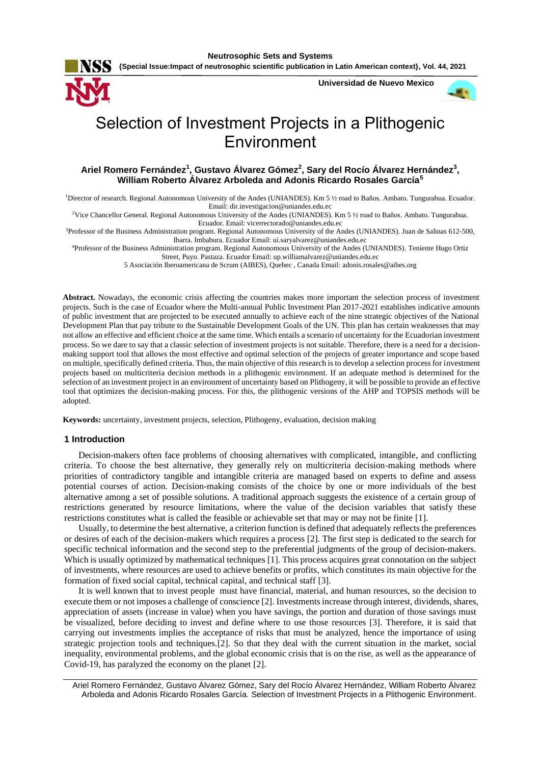**{Special Issue:Impact of neutrosophic scientific publication in Latin American context}, Vol. 44, 2021**

**Universidad de Nuevo Mexico**



# Selection of Investment Projects in a Plithogenic Environment

## **Ariel Romero Fernández<sup>1</sup> , Gustavo Álvarez Gómez<sup>2</sup> , Sary del Rocío Álvarez Hernández<sup>3</sup> , William Roberto Álvarez Arboleda and Adonis Ricardo Rosales García<sup>5</sup>**

<sup>1</sup>Director of research. Regional Autonomous University of the Andes (UNIANDES). Km 5 ½ road to Baños. Ambato. Tungurahua. Ecuador. Email[: dir.investigacion@uniandes.edu.ec](mailto:dir.investigacion@uniandes.edu.ec)

<sup>2</sup>Vice Chancellor General. Regional Autonomous University of the Andes (UNIANDES). Km 5 ½ road to Baños. Ambato. Tungurahua. Ecuador. Email[: vicerrectorado@uniandes.edu.ec](mailto:vicerrectorado@uniandes.edu.ec)

<sup>3</sup>Professor of the Business Administration program. Regional Autonomous University of the Andes (UNIANDES). Juan de Salinas 612-500, Ibarra. Imbabura. Ecuador Email: [ui.saryalvarez@uniandes.edu.ec](mailto:ui.saryalvarez@uniandes.edu.ec)

<sup>4</sup>Professor of the Business Administration program. Regional Autonomous University of the Andes (UNIANDES). Teniente Hugo Ortiz Street, Puyo. Pastaza. Ecuador Email: [up.williamalvarez@uniandes.edu.ec](mailto:up.williamalvarez@uniandes.edu.ec)

5 Asociación Iberoamericana de Scrum (AIBES), Quebec , Canada Email[: adonis.rosales@aibes.org](mailto:adonis.rosales@aibes.org)

**Abstract.** Nowadays, the economic crisis affecting the countries makes more important the selection process of investment projects. Such is the case of Ecuador where the Multi-annual Public Investment Plan 2017-2021 establishes indicative amounts of public investment that are projected to be executed annually to achieve each of the nine strategic objectives of the National Development Plan that pay tribute to the Sustainable Development Goals of the UN. This plan has certain weaknesses that may not allow an effective and efficient choice at the same time. Which entails a scenario of uncertainty for the Ecuadorian investment process. So we dare to say that a classic selection of investment projects is not suitable. Therefore, there is a need for a decisionmaking support tool that allows the most effective and optimal selection of the projects of greater importance and scope based on multiple, specifically defined criteria. Thus, the main objective of this research is to develop a selection process for investment projects based on multicriteria decision methods in a plithogenic environment. If an adequate method is determined for the selection of an investment project in an environment of uncertainty based on Plithogeny, it will be possible to provide an effective tool that optimizes the decision-making process. For this, the plithogenic versions of the AHP and TOPSIS methods will be adopted.

**Keywords:** uncertainty, investment projects, selection, Plithogeny, evaluation, decision making

#### **1 Introduction**

Decision-makers often face problems of choosing alternatives with complicated, intangible, and conflicting criteria. To choose the best alternative, they generally rely on multicriteria decision-making methods where priorities of contradictory tangible and intangible criteria are managed based on experts to define and assess potential courses of action. Decision-making consists of the choice by one or more individuals of the best alternative among a set of possible solutions. A traditional approach suggests the existence of a certain group of restrictions generated by resource limitations, where the value of the decision variables that satisfy these restrictions constitutes what is called the feasible or achievable set that may or may not be finite [\[1\]](#page-12-0).

Usually, to determine the best alternative, a criterion function is defined that adequately reflects the preferences or desires of each of the decision-makers which requires a process [\[2\]](#page-12-1). The first step is dedicated to the search for specific technical information and the second step to the preferential judgments of the group of decision-makers. Which is usually optimized by mathematical techniques [\[1\]](#page-12-0). This process acquires great connotation on the subject of investments, where resources are used to achieve benefits or profits, which constitutes its main objective for the formation of fixed social capital, technical capital, and technical staff [\[3\]](#page-12-2).

It is well known that to invest people must have financial, material, and human resources, so the decision to execute them or not imposes a challenge of conscience [\[2\]](#page-12-1). Investments increase through interest, dividends, shares, appreciation of assets (increase in value) when you have savings, the portion and duration of those savings must be visualized, before deciding to invest and define where to use those resources [\[3\]](#page-12-2). Therefore, it is said that carrying out investments implies the acceptance of risks that must be analyzed, hence the importance of using strategic projection tools and techniques.[\[2\]](#page-12-1). So that they deal with the current situation in the market, social inequality, environmental problems, and the global economic crisis that is on the rise, as well as the appearance of Covid-19, has paralyzed the economy on the planet [\[2\]](#page-12-1).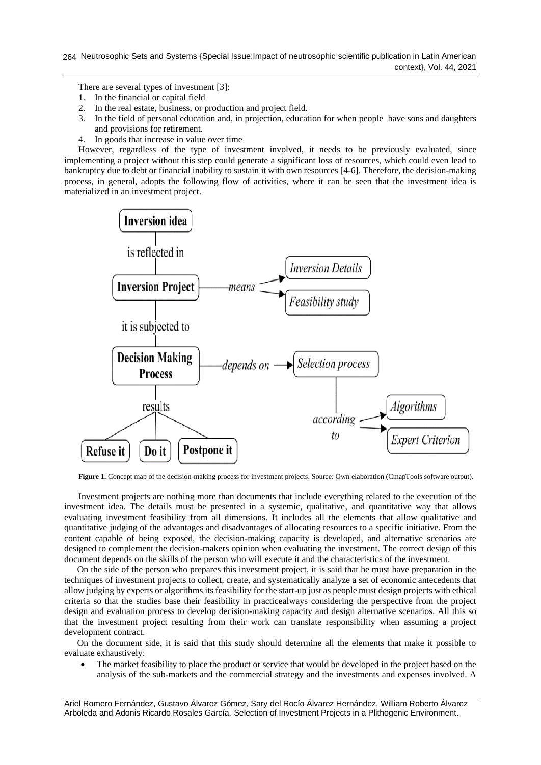There are several types of investment [\[3\]](#page-12-2):

- 1. In the financial or capital field
- 2. In the real estate, business, or production and project field.
- 3. In the field of personal education and, in projection, education for when people have sons and daughters and provisions for retirement.
- 4. In goods that increase in value over time

However, regardless of the type of investment involved, it needs to be previously evaluated, since implementing a project without this step could generate a significant loss of resources, which could even lead to bankruptcy due to debt or financial inability to sustain it with own resources [\[4-6\]](#page-12-3). Therefore, the decision-making process, in general, adopts the following flow of activities, where it can be seen that the investment idea is materialized in an investment project.



**Figure 1.** Concept map of the decision-making process for investment projects. Source: Own elaboration (CmapTools software output).

Investment projects are nothing more than documents that include everything related to the execution of the investment idea. The details must be presented in a systemic, qualitative, and quantitative way that allows evaluating investment feasibility from all dimensions. It includes all the elements that allow qualitative and quantitative judging of the advantages and disadvantages of allocating resources to a specific initiative. From the content capable of being exposed, the decision-making capacity is developed, and alternative scenarios are designed to complement the decision-makers opinion when evaluating the investment. The correct design of this document depends on the skills of the person who will execute it and the characteristics of the investment.

On the side of the person who prepares this investment project, it is said that he must have preparation in the techniques of investment projects to collect, create, and systematically analyze a set of economic antecedents that allow judging by experts or algorithms its feasibility for the start-up just as people must design projects with ethical criteria so that the studies base their feasibility in practicealways considering the perspective from the project design and evaluation process to develop decision-making capacity and design alternative scenarios. All this so that the investment project resulting from their work can translate responsibility when assuming a project development contract.

On the document side, it is said that this study should determine all the elements that make it possible to evaluate exhaustively:

• The market feasibility to place the product or service that would be developed in the project based on the analysis of the sub-markets and the commercial strategy and the investments and expenses involved. A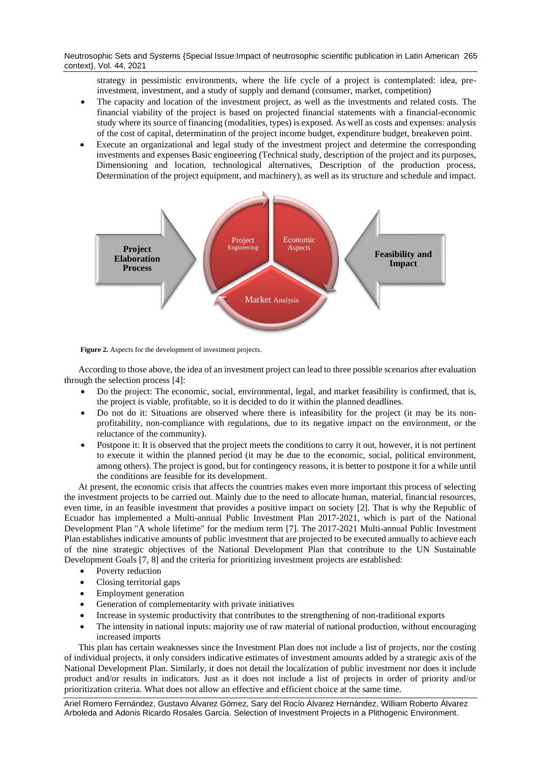Neutrosophic Sets and Systems {Special Issue:Impact of neutrosophic scientific publication in Latin American 265 context}, Vol. 44, 2021

strategy in pessimistic environments, where the life cycle of a project is contemplated: idea, preinvestment, investment, and a study of supply and demand (consumer, market, competition)

- The capacity and location of the investment project, as well as the investments and related costs. The financial viability of the project is based on projected financial statements with a financial-economic study where its source of financing (modalities, types) is exposed. As well as costs and expenses: analysis of the cost of capital, determination of the project income budget, expenditure budget, breakeven point.
- Execute an organizational and legal study of the investment project and determine the corresponding investments and expenses Basic engineering (Technical study, description of the project and its purposes, Dimensioning and location, technological alternatives, Description of the production process, Determination of the project equipment, and machinery), as well as its structure and schedule and impact.



Figure 2. Aspects for the development of investment projects.

According to those above, the idea of an investment project can lead to three possible scenarios after evaluation through the selection process [\[4\]](#page-12-3):

- Do the project: The economic, social, environmental, legal, and market feasibility is confirmed, that is, the project is viable, profitable, so it is decided to do it within the planned deadlines.
- Do not do it: Situations are observed where there is infeasibility for the project (it may be its nonprofitability, non-compliance with regulations, due to its negative impact on the environment, or the reluctance of the community).
- Postpone it: It is observed that the project meets the conditions to carry it out, however, it is not pertinent to execute it within the planned period (it may be due to the economic, social, political environment, among others). The project is good, but for contingency reasons, it is better to postpone it for a while until the conditions are feasible for its development.

At present, the economic crisis that affects the countries makes even more important this process of selecting the investment projects to be carried out. Mainly due to the need to allocate human, material, financial resources, even time, in an feasible investment that provides a positive impact on society [\[2\]](#page-12-1). That is why the Republic of Ecuador has implemented a Multi-annual Public Investment Plan 2017-2021, which is part of the National Development Plan "A whole lifetime" for the medium term [\[7\]](#page-12-4). The 2017-2021 Multi-annual Public Investment Plan establishes indicative amounts of public investment that are projected to be executed annually to achieve each of the nine strategic objectives of the National Development Plan that contribute to the UN Sustainable Development Goals [\[7,](#page-12-4) [8\]](#page-12-5) and the criteria for prioritizing investment projects are established:

- Poverty reduction
- Closing territorial gaps
- Employment generation
- Generation of complementarity with private initiatives
- Increase in systemic productivity that contributes to the strengthening of non-traditional exports
- The intensity in national inputs: majority use of raw material of national production, without encouraging increased imports

This plan has certain weaknesses since the Investment Plan does not include a list of projects, nor the costing of individual projects, it only considers indicative estimates of investment amounts added by a strategic axis of the National Development Plan. Similarly, it does not detail the localization of public investment nor does it include product and/or results in indicators. Just as it does not include a list of projects in order of priority and/or prioritization criteria. What does not allow an effective and efficient choice at the same time.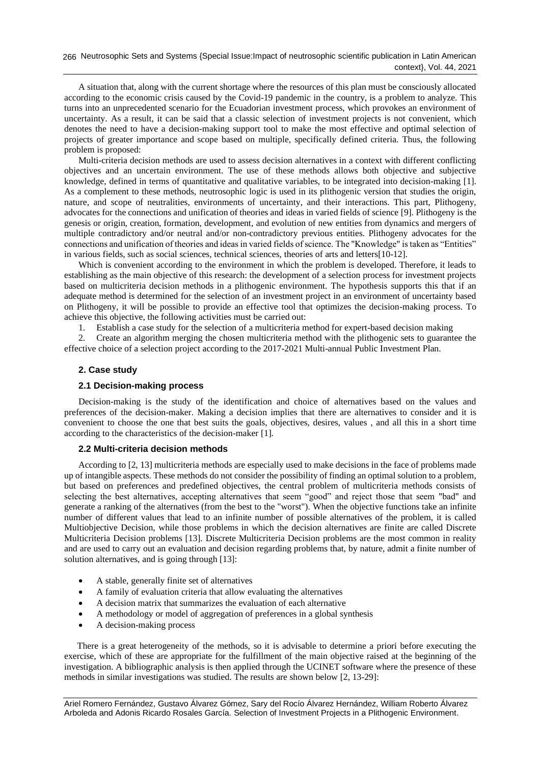Neutrosophic Sets and Systems {Special Issue:Impact of neutrosophic scientific publication in Latin American 266 context}, Vol. 44, 2021

A situation that, along with the current shortage where the resources of this plan must be consciously allocated according to the economic crisis caused by the Covid-19 pandemic in the country, is a problem to analyze. This turns into an unprecedented scenario for the Ecuadorian investment process, which provokes an environment of uncertainty. As a result, it can be said that a classic selection of investment projects is not convenient, which denotes the need to have a decision-making support tool to make the most effective and optimal selection of projects of greater importance and scope based on multiple, specifically defined criteria. Thus, the following problem is proposed:

Multi-criteria decision methods are used to assess decision alternatives in a context with different conflicting objectives and an uncertain environment. The use of these methods allows both objective and subjective knowledge, defined in terms of quantitative and qualitative variables, to be integrated into decision-making [\[1\]](#page-12-0). As a complement to these methods, neutrosophic logic is used in its plithogenic version that studies the origin, nature, and scope of neutralities, environments of uncertainty, and their interactions. This part, Plithogeny, advocates for the connections and unification of theories and ideas in varied fields of science [\[9\]](#page-12-6). Plithogeny is the genesis or origin, creation, formation, development, and evolution of new entities from dynamics and mergers of multiple contradictory and/or neutral and/or non-contradictory previous entities. Plithogeny advocates for the connections and unification of theories and ideas in varied fields of science. The "Knowledge" is taken as "Entities" in various fields, such as social sciences, technical sciences, theories of arts and letters[\[10-12\]](#page-12-7).

Which is convenient according to the environment in which the problem is developed. Therefore, it leads to establishing as the main objective of this research: the development of a selection process for investment projects based on multicriteria decision methods in a plithogenic environment. The hypothesis supports this that if an adequate method is determined for the selection of an investment project in an environment of uncertainty based on Plithogeny, it will be possible to provide an effective tool that optimizes the decision-making process. To achieve this objective, the following activities must be carried out:

1. Establish a case study for the selection of a multicriteria method for expert-based decision making

2. Create an algorithm merging the chosen multicriteria method with the plithogenic sets to guarantee the effective choice of a selection project according to the 2017-2021 Multi-annual Public Investment Plan.

#### **2. Case study**

## **2.1 Decision-making process**

Decision-making is the study of the identification and choice of alternatives based on the values and preferences of the decision-maker. Making a decision implies that there are alternatives to consider and it is convenient to choose the one that best suits the goals, objectives, desires, values , and all this in a short time according to the characteristics of the decision-maker [\[1\]](#page-12-0).

#### **2.2 Multi-criteria decision methods**

According to [\[2,](#page-12-1) [13\]](#page-12-8) multicriteria methods are especially used to make decisions in the face of problems made up of intangible aspects. These methods do not consider the possibility of finding an optimal solution to a problem, but based on preferences and predefined objectives, the central problem of multicriteria methods consists of selecting the best alternatives, accepting alternatives that seem "good" and reject those that seem "bad" and generate a ranking of the alternatives (from the best to the "worst"). When the objective functions take an infinite number of different values that lead to an infinite number of possible alternatives of the problem, it is called Multiobjective Decision, while those problems in which the decision alternatives are finite are called Discrete Multicriteria Decision problems [\[13\]](#page-12-8). Discrete Multicriteria Decision problems are the most common in reality and are used to carry out an evaluation and decision regarding problems that, by nature, admit a finite number of solution alternatives, and is going through [\[13\]](#page-12-8):

- A stable, generally finite set of alternatives
- A family of evaluation criteria that allow evaluating the alternatives
- A decision matrix that summarizes the evaluation of each alternative
- A methodology or model of aggregation of preferences in a global synthesis
- A decision-making process

There is a great heterogeneity of the methods, so it is advisable to determine a priori before executing the exercise, which of these are appropriate for the fulfillment of the main objective raised at the beginning of the investigation. A bibliographic analysis is then applied through the UCINET software where the presence of these methods in similar investigations was studied. The results are shown below [\[2,](#page-12-1) [13-29\]](#page-12-8):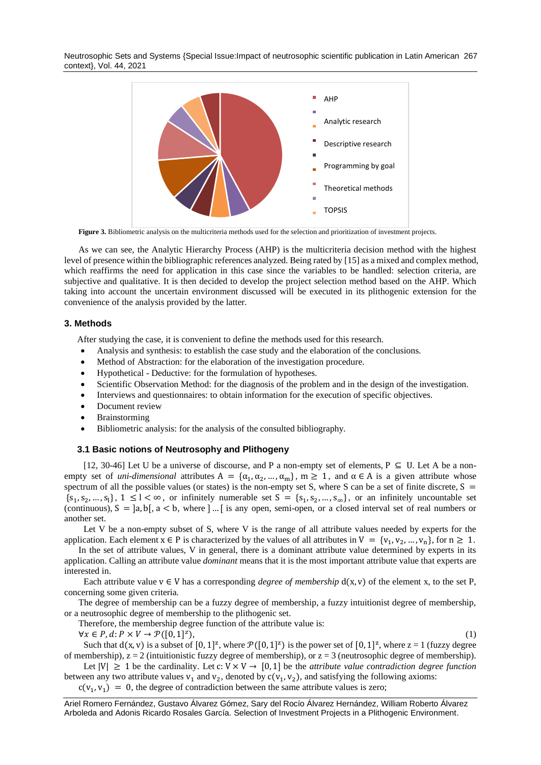Neutrosophic Sets and Systems {Special Issue:Impact of neutrosophic scientific publication in Latin American 267 context}, Vol. 44, 2021



Figure 3. Bibliometric analysis on the multicriteria methods used for the selection and prioritization of investment projects.

As we can see, the Analytic Hierarchy Process (AHP) is the multicriteria decision method with the highest level of presence within the bibliographic references analyzed. Being rated by [\[15\]](#page-12-9) as a mixed and complex method, which reaffirms the need for application in this case since the variables to be handled: selection criteria, are subjective and qualitative. It is then decided to develop the project selection method based on the AHP. Which taking into account the uncertain environment discussed will be executed in its plithogenic extension for the convenience of the analysis provided by the latter.

## **3. Methods**

After studying the case, it is convenient to define the methods used for this research.

- Analysis and synthesis: to establish the case study and the elaboration of the conclusions.
- Method of Abstraction: for the elaboration of the investigation procedure.
- Hypothetical Deductive: for the formulation of hypotheses.
- Scientific Observation Method: for the diagnosis of the problem and in the design of the investigation.
- Interviews and questionnaires: to obtain information for the execution of specific objectives.
- Document review

 $\forall x \in P, d: P \times V \rightarrow \mathcal{P}([0,1]^z)$ 

- **Brainstorming**
- Bibliometric analysis: for the analysis of the consulted bibliography.

#### **3.1 Basic notions of Neutrosophy and Plithogeny**

[\[12,](#page-12-10) [30-46\]](#page-13-0) Let U be a universe of discourse, and P a non-empty set of elements, P  $\subseteq$  U. Let A be a nonempty set of *uni-dimensional* attributes  $A = {\alpha_1, \alpha_2, ..., \alpha_m}$ ,  $m \ge 1$ , and  $\alpha \in A$  is a given attribute whose spectrum of all the possible values (or states) is the non-empty set S, where S can be a set of finite discrete,  $S =$  ${s_1, s_2, ..., s_l}$ ,  $1 \le l < \infty$ , or infinitely numerable set  $S = {s_1, s_2, ..., s_\infty}$ , or an infinitely uncountable set (continuous),  $S = \mathcal{a}, \mathcal{b}, \mathcal{a} < \mathcal{b}$ , where  $\mathcal{b}$  ... [ is any open, semi-open, or a closed interval set of real numbers or another set.

Let V be a non-empty subset of S, where V is the range of all attribute values needed by experts for the application. Each element  $x \in P$  is characterized by the values of all attributes in  $V = \{v_1, v_2, ..., v_n\}$ , for  $n \ge 1$ .

In the set of attribute values, V in general, there is a dominant attribute value determined by experts in its application. Calling an attribute value *dominant* means that it is the most important attribute value that experts are interested in.

Each attribute value  $v \in V$  has a corresponding *degree of membership*  $d(x, v)$  of the element x, to the set P, concerning some given criteria.

The degree of membership can be a fuzzy degree of membership, a fuzzy intuitionist degree of membership, or a neutrosophic degree of membership to the plithogenic set.

Therefore, the membership degree function of the attribute value is:

 $),$  (1)

Such that  $d(x, v)$  is a subset of  $[0, 1]^z$ , where  $\mathcal{P}([0, 1]^z)$  is the power set of  $[0, 1]^z$ , where  $z = 1$  (fuzzy degree of membership),  $z = 2$  (intuitionistic fuzzy degree of membership), or  $z = 3$  (neutrosophic degree of membership).

Let  $|V| \ge 1$  be the cardinality. Let c:  $V \times V \rightarrow [0, 1]$  be the *attribute value contradiction degree function* between any two attribute values  $v_1$  and  $v_2$ , denoted by  $c(v_1, v_2)$ , and satisfying the following axioms:

 $c(v_1, v_1) = 0$ , the degree of contradiction between the same attribute values is zero;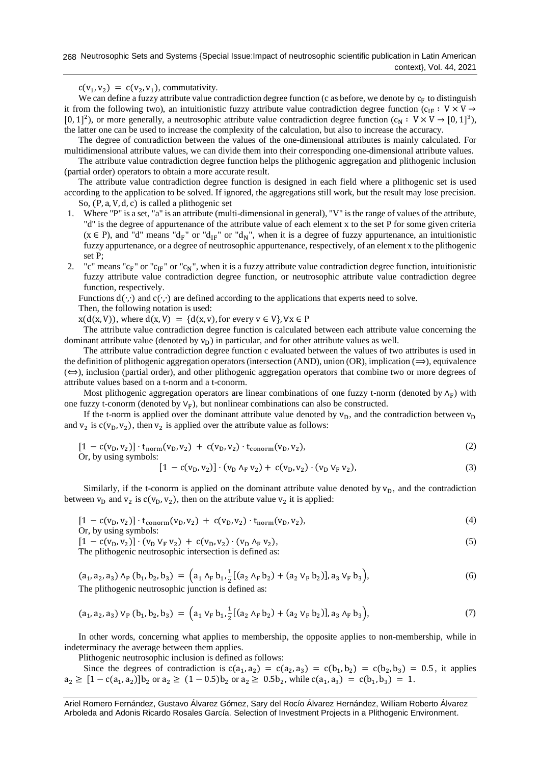$c(v_1, v_2) = c(v_2, v_1)$ , commutativity.

We can define a fuzzy attribute value contradiction degree function (c as before, we denote by  $c_F$  to distinguish it from the following two), an intuitionistic fuzzy attribute value contradiction degree function ( $c_{IF} : V \times V \rightarrow$ [0, 1]<sup>2</sup>), or more generally, a neutrosophic attribute value contradiction degree function  $(c_N : V \times V \rightarrow [0, 1]^3)$ , the latter one can be used to increase the complexity of the calculation, but also to increase the accuracy.

The degree of contradiction between the values of the one-dimensional attributes is mainly calculated. For multidimensional attribute values, we can divide them into their corresponding one-dimensional attribute values.

The attribute value contradiction degree function helps the plithogenic aggregation and plithogenic inclusion (partial order) operators to obtain a more accurate result.

The attribute value contradiction degree function is designed in each field where a plithogenic set is used according to the application to be solved. If ignored, the aggregations still work, but the result may lose precision. So, (P, a, V, d, c) is called a plithogenic set

- 1. Where "P" is a set, "a" is an attribute (multi-dimensional in general), "V" is the range of values of the attribute, "d" is the degree of appurtenance of the attribute value of each element x to the set P for some given criteria  $(x \in P)$ , and "d" means "d<sub>F</sub>" or "d<sub>IF</sub>" or "d<sub>N</sub>", when it is a degree of fuzzy appurtenance, an intuitionistic fuzzy appurtenance, or a degree of neutrosophic appurtenance, respectively, of an element x to the plithogenic set P;
- 2. "c" means " $c_F$ " or " $c_{IF}$ " or " $c_N$ ", when it is a fuzzy attribute value contradiction degree function, intuitionistic fuzzy attribute value contradiction degree function, or neutrosophic attribute value contradiction degree function, respectively.

Functions  $d(\cdot, \cdot)$  and  $c(\cdot, \cdot)$  are defined according to the applications that experts need to solve.

Then, the following notation is used:

 $x(d(x, V))$ , where  $d(x, V) = {d(x, v)}$ , for every  $v \in V$ ,  $\forall x \in P$ 

The attribute value contradiction degree function is calculated between each attribute value concerning the dominant attribute value (denoted by  $v_D$ ) in particular, and for other attribute values as well.

The attribute value contradiction degree function c evaluated between the values of two attributes is used in the definition of plithogenic aggregation operators (intersection (AND), union (OR), implication  $(\implies)$ , equivalence  $(\Leftrightarrow)$ , inclusion (partial order), and other plithogenic aggregation operators that combine two or more degrees of attribute values based on a t-norm and a t-conorm.

Most plithogenic aggregation operators are linear combinations of one fuzzy t-norm (denoted by  $\Lambda_F$ ) with one fuzzy t-conorm (denoted by  $V_F$ ), but nonlinear combinations can also be constructed.

If the t-norm is applied over the dominant attribute value denoted by  $v_D$ , and the contradiction between  $v_D$ and  $v_2$  is  $c(v_0, v_2)$ , then  $v_2$  is applied over the attribute value as follows:

$$
[1 - c(v_D, v_2)] \cdot t_{norm}(v_D, v_2) + c(v_D, v_2) \cdot t_{conorm}(v_D, v_2),
$$
  
Or, by using symbols: (2)

$$
[1 - c(v_D, v_2)] \cdot (v_D \Lambda_F v_2) + c(v_D, v_2) \cdot (v_D \ V_F v_2), \tag{3}
$$

Similarly, if the t-conorm is applied on the dominant attribute value denoted by  $v<sub>D</sub>$ , and the contradiction between  $v_D$  and  $v_2$  is  $c(v_D, v_2)$ , then on the attribute value  $v_2$  it is applied:

$$
[1 - c(v_D, v_2)] \cdot t_{\text{conorm}}(v_D, v_2) + c(v_D, v_2) \cdot t_{\text{norm}}(v_D, v_2),
$$
\n
$$
...
$$

Or, by using symbols:

 $[1 - c(v_D, v_2)] \cdot (v_D \vee_F v_2) + c(v_D, v_2) \cdot (v_D \wedge_F v_2),$  (5) The plithogenic neutrosophic intersection is defined as:

$$
(a_1, a_2, a_3) \wedge_P (b_1, b_2, b_3) = (a_1 \wedge_F b_1, \frac{1}{2}[(a_2 \wedge_F b_2) + (a_2 \vee_F b_2)], a_3 \vee_F b_3),
$$
 (6)

The plithogenic neutrosophic junction is defined as:

$$
(a_1, a_2, a_3) \vee_{P} (b_1, b_2, b_3) = (a_1 \vee_{F} b_1, \frac{1}{2} [(a_2 \wedge_{F} b_2) + (a_2 \vee_{F} b_2)], a_3 \wedge_{F} b_3), \tag{7}
$$

In other words, concerning what applies to membership, the opposite applies to non-membership, while in indeterminacy the average between them applies.

Plithogenic neutrosophic inclusion is defined as follows:

Since the degrees of contradiction is  $c(a_1, a_2) = c(a_2, a_3) = c(b_1, b_2) = c(b_2, b_3) = 0.5$ , it applies  $a_2 \geq [1 - c(a_1, a_2)]b_2$  or  $a_2 \geq (1 - 0.5)b_2$  or  $a_2 \geq 0.5b_2$ , while  $c(a_1, a_3) = c(b_1, b_3) = 1$ .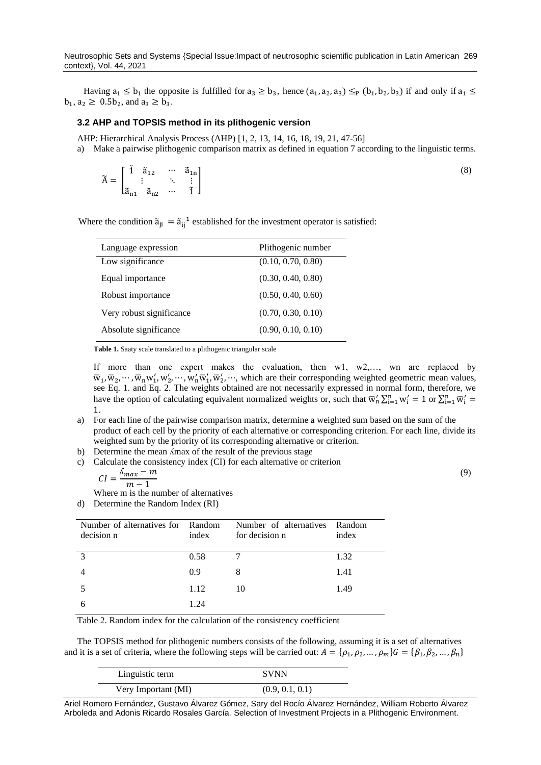Having  $a_1 \leq b_1$  the opposite is fulfilled for  $a_3 \geq b_3$ , hence  $(a_1, a_2, a_3) \leq_P (b_1, b_2, b_3)$  if and only if  $a_1 \leq$  $b_1, a_2 \ge 0.5b_2$ , and  $a_3 \ge b_3$ .

### **3.2 AHP and TOPSIS method in its plithogenic version**

AHP: Hierarchical Analysis Process (AHP) [\[1,](#page-12-0) [2,](#page-12-1) [13,](#page-12-8) [14,](#page-12-11) [16,](#page-12-12) [18,](#page-12-13) [19,](#page-12-14) [21,](#page-12-15) [47-56\]](#page-14-0)

a) Make a pairwise plithogenic comparison matrix as defined in equation 7 according to the linguistic terms.

$$
\widetilde{A} = \begin{bmatrix} \widetilde{1} & \widetilde{a}_{12} & \cdots & \widetilde{a}_{1n} \\ \vdots & & \ddots & \vdots \\ \widetilde{a}_{n1} & \widetilde{a}_{n2} & \cdots & \widetilde{1} \end{bmatrix}
$$
\n(8)

Where the condition  $\tilde{a}_{ji} = \tilde{a}_{ij}^{-1}$  established for the investment operator is satisfied:

| Language expression      | Plithogenic number |  |  |
|--------------------------|--------------------|--|--|
| Low significance         | (0.10, 0.70, 0.80) |  |  |
| Equal importance         | (0.30, 0.40, 0.80) |  |  |
| Robust importance        | (0.50, 0.40, 0.60) |  |  |
| Very robust significance | (0.70, 0.30, 0.10) |  |  |
| Absolute significance    | (0.90, 0.10, 0.10) |  |  |

**Table 1.** Saaty scale translated to a plithogenic triangular scale

If more than one expert makes the evaluation, then w1, w2,…, wn are replaced by  $\overline{w}_1, \overline{w}_2, \cdots, \overline{w}_n w'_1, w'_2, \cdots, w'_n \overline{w}'_1, \overline{w}'_2, \cdots$ , which are their corresponding weighted geometric mean values, see Eq. 1. and Eq. 2. The weights obtained are not necessarily expressed in normal form, therefore, we have the option of calculating equivalent normalized weights or, such that  $\overline{w}'_n \sum_{i=1}^n w'_i = 1$  or  $\sum_{i=1}^n \overline{w}'_i =$ 1.

a) For each line of the pairwise comparison matrix, determine a weighted sum based on the sum of the product of each cell by the priority of each alternative or corresponding criterion. For each line, divide its weighted sum by the priority of its corresponding alternative or criterion.

(9)

- b) Determine the mean *K*max of the result of the previous stage
- c) Calculate the consistency index (CI) for each alternative or criterion

$$
CI = \frac{\Lambda_{max} - m}{m - 1}
$$

Where m is the number of alternatives

d) Determine the Random Index (RI)

| Number of alternatives for Random |       | Number of alternatives | Random |
|-----------------------------------|-------|------------------------|--------|
| decision n                        | index | for decision n         | index  |
|                                   |       |                        |        |
| $\mathcal{R}$                     | 0.58  |                        | 1.32   |
|                                   | 0.9   |                        | 1.41   |
|                                   | 1.12  | 10                     | 1.49   |
| 6                                 | 1.24  |                        |        |

Table 2. Random index for the calculation of the consistency coefficient

The TOPSIS method for plithogenic numbers consists of the following, assuming it is a set of alternatives and it is a set of criteria, where the following steps will be carried out:  $A = \{\rho_1, \rho_2, ..., \rho_m\}$   $G = \{\beta_1, \beta_2, ..., \beta_n\}$ 

| Linguistic term     | <b>SVNN</b>     |  |
|---------------------|-----------------|--|
| Very Important (MI) | (0.9, 0.1, 0.1) |  |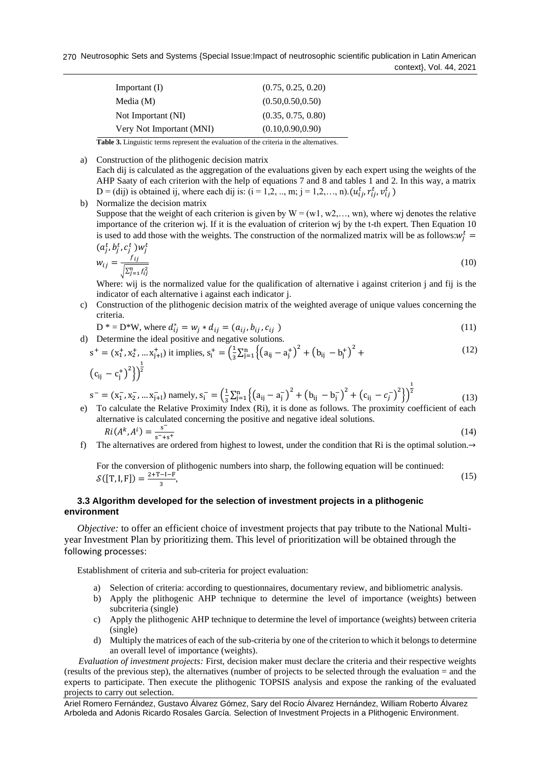270 Neutrosophic Sets and Systems {Special Issue:Impact of neutrosophic scientific publication in Latin American context}, Vol. 44, 2021

| Important $(I)$          | (0.75, 0.25, 0.20) |
|--------------------------|--------------------|
| Media $(M)$              | (0.50, 0.50, 0.50) |
| Not Important (NI)       | (0.35, 0.75, 0.80) |
| Very Not Important (MNI) | (0.10, 0.90, 0.90) |

**Table 3.** Linguistic terms represent the evaluation of the criteria in the alternatives*.*

- a) Construction of the plithogenic decision matrix Each dij is calculated as the aggregation of the evaluations given by each expert using the weights of the AHP Saaty of each criterion with the help of equations 7 and 8 and tables 1 and 2. In this way, a matrix D = (dij) is obtained ij, where each dij is: (i = 1,2, .., m; j = 1,2,..., n).  $(u_{ij}^t, r_{ij}^t, v_{ij}^t)$
- b) Normalize the decision matrix Suppose that the weight of each criterion is given by  $W = (w1, w2,..., wn)$ , where wj denotes the relative importance of the criterion wj. If it is the evaluation of criterion wj by the t-th expert. Then Equation 10 is used to add those with the weights. The construction of the normalized matrix will be as follows: $w_j^t$  =  $(a_j^t, b_j^t, c_j^t) w_j^t$

$$
w_{ij} = \frac{f_{ij}}{\sqrt{\sum_{j=1}^{n} f_{ij}^2}}
$$
(10)

Where: wij is the normalized value for the qualification of alternative i against criterion j and fij is the indicator of each alternative i against each indicator j.

c) Construction of the plithogenic decision matrix of the weighted average of unique values concerning the criteria.

$$
D^* = D^*W, \text{ where } d_{ij}^* = w_j * d_{ij} = (a_{ij}, b_{ij}, c_{ij})
$$
\n(11)

d) Determine the ideal positive and negative solutions.  $s^+ = (x_1^+, x_2^+, \dots x_{j+1}^+)$  it implies,  $s_i^+ = \left(\frac{1}{3}\right)$  $\frac{1}{3}\sum_{j=1}^{n} \left\{ (a_{ij} - a_j^+) ^2 + (b_{ij} - b_j^+) ^2 + \right\}$  $(c_{ij} - c_j^{\dagger})^2$  $\frac{1}{2}$ (12)

$$
s^{-} = (x_1^{-}, x_2^{-}, \dots x_{j+1}^{-}) \text{ namely, } s_i^{-} = \left(\frac{1}{3} \sum_{j=1}^n \left\{ (a_{ij} - a_j^{-})^2 + (b_{ij} - b_j^{-})^2 + (c_{ij} - c_j^{-})^2 \right\} \right)^{\frac{1}{2}}
$$
(13)

- e) To calculate the Relative Proximity Index (Ri), it is done as follows. The proximity coefficient of each alternative is calculated concerning the positive and negative ideal solutions.  $Ri(A^{k}, A^{i}) = \frac{s^{-}}{s^{-}}$  $s^-+s^+$ (14)
- f) The alternatives are ordered from highest to lowest, under the condition that Ri is the optimal solution.→

For the conversion of plithogenic numbers into sharp, the following equation will be continued:  $S([T, I, F]) = \frac{2+T-I-F}{2}$  $\frac{-1-r}{3}$ (15)

## **3.3 Algorithm developed for the selection of investment projects in a plithogenic environment**

*Objective:* to offer an efficient choice of investment projects that pay tribute to the National Multiyear Investment Plan by prioritizing them. This level of prioritization will be obtained through the following processes:

Establishment of criteria and sub-criteria for project evaluation:

- a) Selection of criteria: according to questionnaires, documentary review, and bibliometric analysis.
- b) Apply the plithogenic AHP technique to determine the level of importance (weights) between subcriteria (single)
- c) Apply the plithogenic AHP technique to determine the level of importance (weights) between criteria (single)
- d) Multiply the matrices of each of the sub-criteria by one of the criterion to which it belongs to determine an overall level of importance (weights).

*Evaluation of investment projects:* First, decision maker must declare the criteria and their respective weights (results of the previous step), the alternatives (number of projects to be selected through the evaluation = and the experts to participate. Then execute the plithogenic TOPSIS analysis and expose the ranking of the evaluated projects to carry out selection.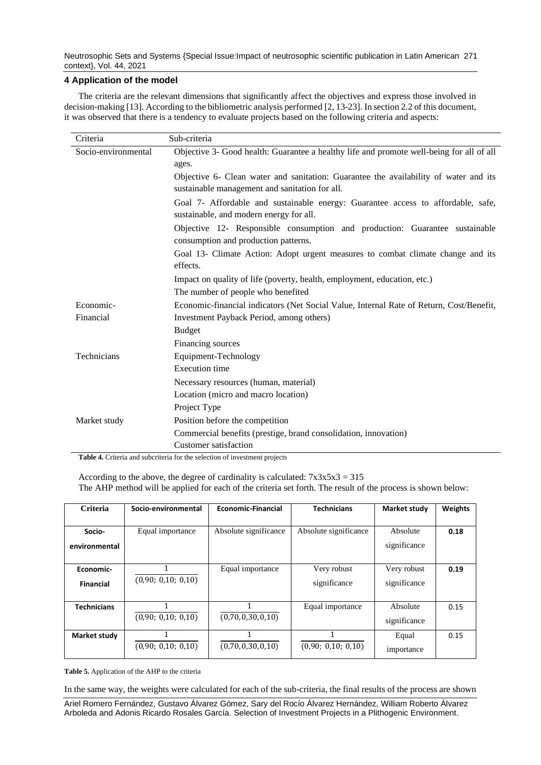Neutrosophic Sets and Systems {Special Issue:Impact of neutrosophic scientific publication in Latin American 271 context}, Vol. 44, 2021

## **4 Application of the model**

The criteria are the relevant dimensions that significantly affect the objectives and express those involved in decision-making [\[13\]](#page-12-8). According to the bibliometric analysis performed [\[2,](#page-12-1) [13-23\]](#page-12-8). In section 2.2 of this document, it was observed that there is a tendency to evaluate projects based on the following criteria and aspects:

| Criteria            | Sub-criteria                                                                             |
|---------------------|------------------------------------------------------------------------------------------|
| Socio-environmental | Objective 3- Good health: Guarantee a healthy life and promote well-being for all of all |
|                     | ages.                                                                                    |
|                     | Objective 6- Clean water and sanitation: Guarantee the availability of water and its     |
|                     | sustainable management and sanitation for all.                                           |
|                     | Goal 7- Affordable and sustainable energy: Guarantee access to affordable, safe,         |
|                     | sustainable, and modern energy for all.                                                  |
|                     | Objective 12- Responsible consumption and production: Guarantee sustainable              |
|                     | consumption and production patterns.                                                     |
|                     | Goal 13- Climate Action: Adopt urgent measures to combat climate change and its          |
|                     | effects.                                                                                 |
|                     | Impact on quality of life (poverty, health, employment, education, etc.)                 |
|                     | The number of people who benefited                                                       |
| Economic-           | Economic-financial indicators (Net Social Value, Internal Rate of Return, Cost/Benefit,  |
| Financial           | Investment Payback Period, among others)                                                 |
|                     | <b>Budget</b>                                                                            |
|                     | Financing sources                                                                        |
| Technicians         | Equipment-Technology                                                                     |
|                     | <b>Execution</b> time                                                                    |
|                     | Necessary resources (human, material)                                                    |
|                     | Location (micro and macro location)                                                      |
|                     | Project Type                                                                             |
| Market study        | Position before the competition                                                          |
|                     | Commercial benefits (prestige, brand consolidation, innovation)                          |
|                     | Customer satisfaction                                                                    |

**Table 4.** Criteria and subcriteria for the selection of investment projects

According to the above, the degree of cardinality is calculated:  $7x3x5x3 = 315$ The AHP method will be applied for each of the criteria set forth. The result of the process is shown below:

| Criteria                      | Socio-environmental | <b>Economic-Financial</b> | <b>Technicians</b>          | Market study                | <b>Weights</b> |
|-------------------------------|---------------------|---------------------------|-----------------------------|-----------------------------|----------------|
| Socio-<br>environmental       | Equal importance    | Absolute significance     | Absolute significance       | Absolute<br>significance    | 0.18           |
| Economic-<br><b>Financial</b> | (0,90; 0,10; 0,10)  | Equal importance          | Very robust<br>significance | Very robust<br>significance | 0.19           |
| <b>Technicians</b>            | (0,90; 0,10; 0,10)  | (0,70,0,30,0,10)          | Equal importance            | Absolute<br>significance    | 0.15           |
| Market study                  | (0,90; 0,10; 0,10)  | (0,70,0,30,0,10)          | (0,90; 0,10; 0,10)          | Equal<br>importance         | 0.15           |

**Table 5.** Application of the AHP to the criteria

In the same way, the weights were calculated for each of the sub-criteria, the final results of the process are shown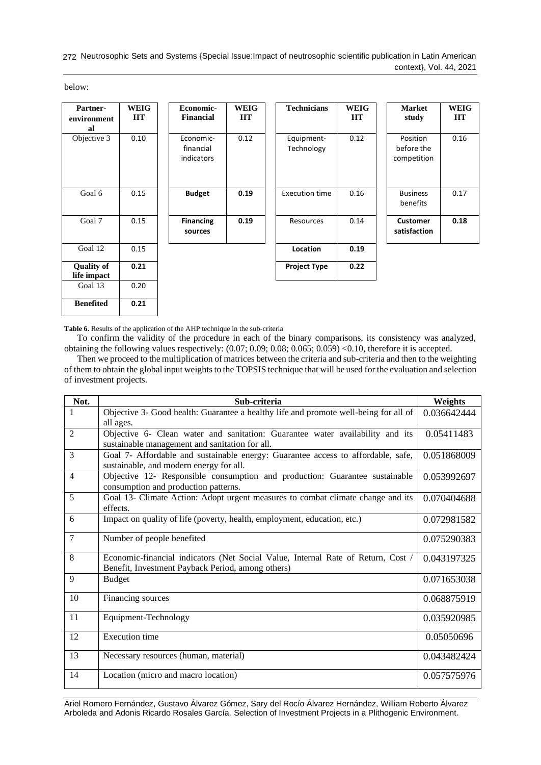272 Neutrosophic Sets and Systems {Special Issue:Impact of neutrosophic scientific publication in Latin American context}, Vol. 44, 2021

below:

| Partner-<br>environment<br>al    | <b>WEIG</b><br><b>HT</b> | Economic-<br><b>Financial</b>        | <b>WEIG</b><br><b>HT</b> | <b>Technicians</b>       | <b>WEIG</b><br>HT | <b>Market</b><br>study                | <b>WEIG</b><br><b>HT</b> |
|----------------------------------|--------------------------|--------------------------------------|--------------------------|--------------------------|-------------------|---------------------------------------|--------------------------|
| Objective 3                      | 0.10                     | Economic-<br>financial<br>indicators | 0.12                     | Equipment-<br>Technology | 0.12              | Position<br>before the<br>competition | 0.16                     |
| Goal 6                           | 0.15                     | <b>Budget</b>                        | 0.19                     | <b>Execution time</b>    | 0.16              | <b>Business</b><br>benefits           | 0.17                     |
| Goal 7                           | 0.15                     | <b>Financing</b><br>sources          | 0.19                     | Resources                | 0.14              | <b>Customer</b><br>satisfaction       | 0.18                     |
| Goal 12                          | 0.15                     |                                      |                          | Location                 | 0.19              |                                       |                          |
| <b>Quality of</b><br>life impact | 0.21                     |                                      |                          | <b>Project Type</b>      | 0.22              |                                       |                          |
| Goal 13                          | 0.20                     |                                      |                          |                          |                   |                                       |                          |
| <b>Benefited</b>                 | 0.21                     |                                      |                          |                          |                   |                                       |                          |

**Table 6.** Results of the application of the AHP technique in the sub-criteria

To confirm the validity of the procedure in each of the binary comparisons, its consistency was analyzed, obtaining the following values respectively: (0.07; 0.09; 0.08; 0.065; 0.059) <0.10, therefore it is accepted.

Then we proceed to the multiplication of matrices between the criteria and sub-criteria and then to the weighting of them to obtain the global input weights to the TOPSIS technique that will be used for the evaluation and selection of investment projects.

| Not.           | Sub-criteria                                                                                                                          | Weights     |
|----------------|---------------------------------------------------------------------------------------------------------------------------------------|-------------|
| 1              | Objective 3- Good health: Guarantee a healthy life and promote well-being for all of<br>all ages.                                     | 0.036642444 |
| 2              | Objective 6- Clean water and sanitation: Guarantee water availability and its<br>sustainable management and sanitation for all.       | 0.05411483  |
| 3              | Goal 7- Affordable and sustainable energy: Guarantee access to affordable, safe,<br>sustainable, and modern energy for all.           | 0.051868009 |
| $\overline{4}$ | Objective 12- Responsible consumption and production: Guarantee sustainable<br>consumption and production patterns.                   | 0.053992697 |
| 5              | Goal 13- Climate Action: Adopt urgent measures to combat climate change and its<br>effects.                                           | 0.070404688 |
| 6              | Impact on quality of life (poverty, health, employment, education, etc.)                                                              | 0.072981582 |
| $\overline{7}$ | Number of people benefited                                                                                                            | 0.075290383 |
| 8              | Economic-financial indicators (Net Social Value, Internal Rate of Return, Cost /<br>Benefit, Investment Payback Period, among others) | 0.043197325 |
| 9              | <b>Budget</b>                                                                                                                         | 0.071653038 |
| 10             | Financing sources                                                                                                                     | 0.068875919 |
| 11             | Equipment-Technology                                                                                                                  | 0.035920985 |
| 12             | <b>Execution time</b>                                                                                                                 | 0.05050696  |
| 13             | Necessary resources (human, material)                                                                                                 | 0.043482424 |
| 14             | Location (micro and macro location)                                                                                                   | 0.057575976 |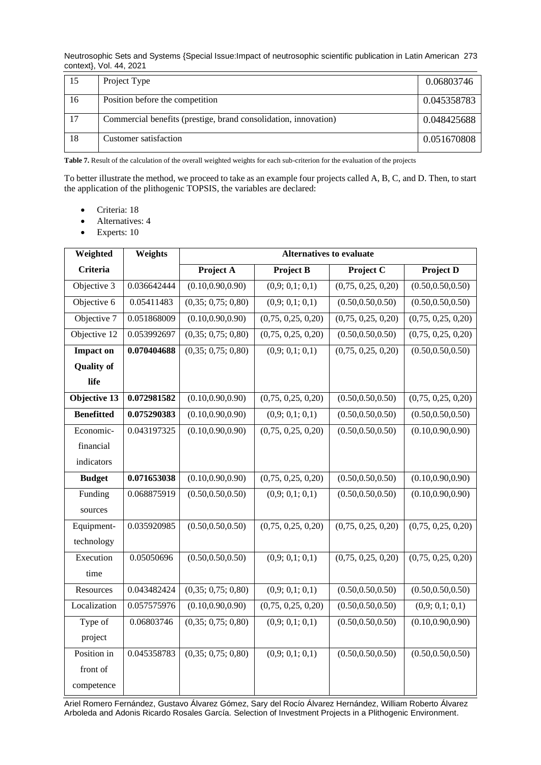Neutrosophic Sets and Systems {Special Issue:Impact of neutrosophic scientific publication in Latin American 273 context}, Vol. 44, 2021

| 15 | Project Type                                                    | 0.06803746  |
|----|-----------------------------------------------------------------|-------------|
| 16 | Position before the competition                                 | 0.045358783 |
| 17 | Commercial benefits (prestige, brand consolidation, innovation) | 0.048425688 |
| 18 | Customer satisfaction                                           | 0.051670808 |

**Table 7.** Result of the calculation of the overall weighted weights for each sub-criterion for the evaluation of the projects

To better illustrate the method, we proceed to take as an example four projects called A, B, C, and D. Then, to start the application of the plithogenic TOPSIS, the variables are declared:

- Criteria: 18
- Alternatives: 4
- Experts: 10

| Weighted          | Weights     | <b>Alternatives to evaluate</b> |                    |                        |                    |
|-------------------|-------------|---------------------------------|--------------------|------------------------|--------------------|
| <b>Criteria</b>   |             | Project A                       | <b>Project B</b>   | Project $\overline{C}$ | <b>Project D</b>   |
| Objective 3       | 0.036642444 | (0.10, 0.90, 0.90)              | (0,9; 0,1; 0,1)    | (0,75, 0,25, 0,20)     | (0.50, 0.50, 0.50) |
| Objective 6       | 0.05411483  | (0,35; 0,75; 0,80)              | (0,9; 0,1; 0,1)    | (0.50, 0.50, 0.50)     | (0.50, 0.50, 0.50) |
| Objective 7       | 0.051868009 | (0.10, 0.90, 0.90)              | (0,75, 0,25, 0,20) | (0,75, 0,25, 0,20)     | (0,75, 0,25, 0,20) |
| Objective 12      | 0.053992697 | (0,35; 0,75; 0,80)              | (0,75, 0,25, 0,20) | (0.50, 0.50, 0.50)     | (0,75, 0,25, 0,20) |
| <b>Impact on</b>  | 0.070404688 | (0,35; 0,75; 0,80)              | (0,9; 0,1; 0,1)    | (0,75, 0,25, 0,20)     | (0.50, 0.50, 0.50) |
| <b>Quality of</b> |             |                                 |                    |                        |                    |
| life              |             |                                 |                    |                        |                    |
| Objective 13      | 0.072981582 | (0.10, 0.90, 0.90)              | (0,75, 0,25, 0,20) | (0.50, 0.50, 0.50)     | (0,75, 0,25, 0,20) |
| <b>Benefitted</b> | 0.075290383 | (0.10, 0.90, 0.90)              | (0,9; 0,1; 0,1)    | (0.50, 0.50, 0.50)     | (0.50, 0.50, 0.50) |
| Economic-         | 0.043197325 | (0.10, 0.90, 0.90)              | (0,75, 0,25, 0,20) | (0.50, 0.50, 0.50)     | (0.10, 0.90, 0.90) |
| financial         |             |                                 |                    |                        |                    |
| indicators        |             |                                 |                    |                        |                    |
| <b>Budget</b>     | 0.071653038 | (0.10, 0.90, 0.90)              | (0,75, 0,25, 0,20) | (0.50, 0.50, 0.50)     | (0.10, 0.90, 0.90) |
| Funding           | 0.068875919 | (0.50, 0.50, 0.50)              | (0,9; 0,1; 0,1)    | (0.50, 0.50, 0.50)     | (0.10, 0.90, 0.90) |
| sources           |             |                                 |                    |                        |                    |
| Equipment-        | 0.035920985 | (0.50, 0.50, 0.50)              | (0,75, 0,25, 0,20) | (0,75, 0,25, 0,20)     | (0,75, 0,25, 0,20) |
| technology        |             |                                 |                    |                        |                    |
| Execution         | 0.05050696  | (0.50, 0.50, 0.50)              | (0,9; 0,1; 0,1)    | (0,75, 0,25, 0,20)     | (0,75, 0,25, 0,20) |
| time              |             |                                 |                    |                        |                    |
| Resources         | 0.043482424 | (0,35; 0,75; 0,80)              | (0,9; 0,1; 0,1)    | (0.50, 0.50, 0.50)     | (0.50, 0.50, 0.50) |
| Localization      | 0.057575976 | (0.10, 0.90, 0.90)              | (0,75, 0,25, 0,20) | (0.50, 0.50, 0.50)     | (0,9; 0,1; 0,1)    |
| Type of           | 0.06803746  | (0,35; 0,75; 0,80)              | (0,9; 0,1; 0,1)    | (0.50, 0.50, 0.50)     | (0.10, 0.90, 0.90) |
| project           |             |                                 |                    |                        |                    |
| Position in       | 0.045358783 | (0,35; 0,75; 0,80)              | (0,9; 0,1; 0,1)    | (0.50, 0.50, 0.50)     | (0.50, 0.50, 0.50) |
| front of          |             |                                 |                    |                        |                    |
| competence        |             |                                 |                    |                        |                    |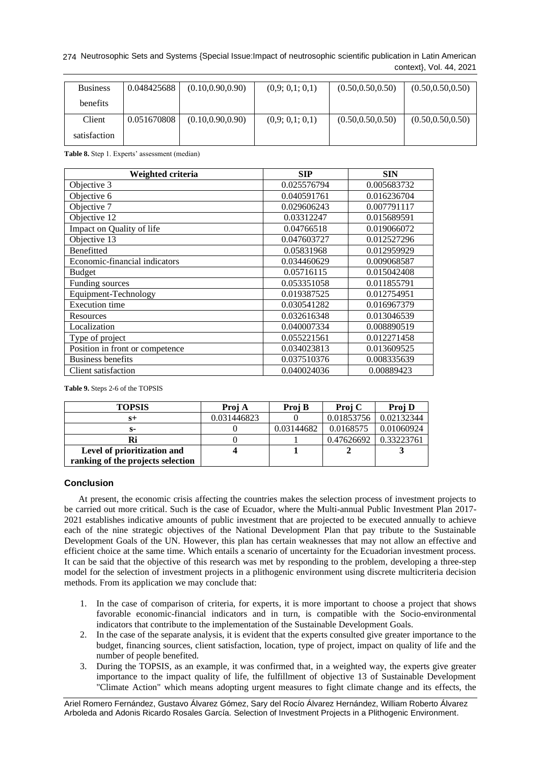Neutrosophic Sets and Systems {Special Issue:Impact of neutrosophic scientific publication in Latin American 274 context}, Vol. 44, 2021

| <b>Business</b> | 0.048425688 | (0.10, 0.90, 0.90) | (0,9; 0,1; 0,1) | (0.50, 0.50, 0.50) | (0.50, 0.50, 0.50) |
|-----------------|-------------|--------------------|-----------------|--------------------|--------------------|
| <b>benefits</b> |             |                    |                 |                    |                    |
| Client          | 0.051670808 | (0.10, 0.90, 0.90) | (0,9; 0,1; 0,1) | (0.50, 0.50, 0.50) | (0.50, 0.50, 0.50) |
| satisfaction    |             |                    |                 |                    |                    |

**Table 8.** Step 1. Experts' assessment (median)

| Weighted criteria               | <b>SIP</b>  | <b>SIN</b>  |
|---------------------------------|-------------|-------------|
| Objective 3                     | 0.025576794 | 0.005683732 |
| Objective 6                     | 0.040591761 | 0.016236704 |
| Objective 7                     | 0.029606243 | 0.007791117 |
| Objective 12                    | 0.03312247  | 0.015689591 |
| Impact on Quality of life       | 0.04766518  | 0.019066072 |
| Objective 13                    | 0.047603727 | 0.012527296 |
| Benefitted                      | 0.05831968  | 0.012959929 |
| Economic-financial indicators   | 0.034460629 | 0.009068587 |
| <b>Budget</b>                   | 0.05716115  | 0.015042408 |
| Funding sources                 | 0.053351058 | 0.011855791 |
| Equipment-Technology            | 0.019387525 | 0.012754951 |
| <b>Execution</b> time           | 0.030541282 | 0.016967379 |
| Resources                       | 0.032616348 | 0.013046539 |
| Localization                    | 0.040007334 | 0.008890519 |
| Type of project                 | 0.055221561 | 0.012271458 |
| Position in front or competence | 0.034023813 | 0.013609525 |
| <b>Business benefits</b>        | 0.037510376 | 0.008335639 |
| Client satisfaction             | 0.040024036 | 0.00889423  |

**Table 9.** Steps 2-6 of the TOPSIS

| <b>TOPSIS</b>                     | Proj A      | Proj B     | Proj C     | Proj D     |
|-----------------------------------|-------------|------------|------------|------------|
| S+                                | 0.031446823 |            | 0.01853756 | 0.02132344 |
| s-                                |             | 0.03144682 | 0.0168575  | 0.01060924 |
| Ri                                |             |            | 0.47626692 | 0.33223761 |
| Level of prioritization and       |             |            |            |            |
| ranking of the projects selection |             |            |            |            |

## **Conclusion**

At present, the economic crisis affecting the countries makes the selection process of investment projects to be carried out more critical. Such is the case of Ecuador, where the Multi-annual Public Investment Plan 2017- 2021 establishes indicative amounts of public investment that are projected to be executed annually to achieve each of the nine strategic objectives of the National Development Plan that pay tribute to the Sustainable Development Goals of the UN. However, this plan has certain weaknesses that may not allow an effective and efficient choice at the same time. Which entails a scenario of uncertainty for the Ecuadorian investment process. It can be said that the objective of this research was met by responding to the problem, developing a three-step model for the selection of investment projects in a plithogenic environment using discrete multicriteria decision methods. From its application we may conclude that:

- 1. In the case of comparison of criteria, for experts, it is more important to choose a project that shows favorable economic-financial indicators and in turn, is compatible with the Socio-environmental indicators that contribute to the implementation of the Sustainable Development Goals.
- 2. In the case of the separate analysis, it is evident that the experts consulted give greater importance to the budget, financing sources, client satisfaction, location, type of project, impact on quality of life and the number of people benefited.
- 3. During the TOPSIS, as an example, it was confirmed that, in a weighted way, the experts give greater importance to the impact quality of life, the fulfillment of objective 13 of Sustainable Development "Climate Action" which means adopting urgent measures to fight climate change and its effects, the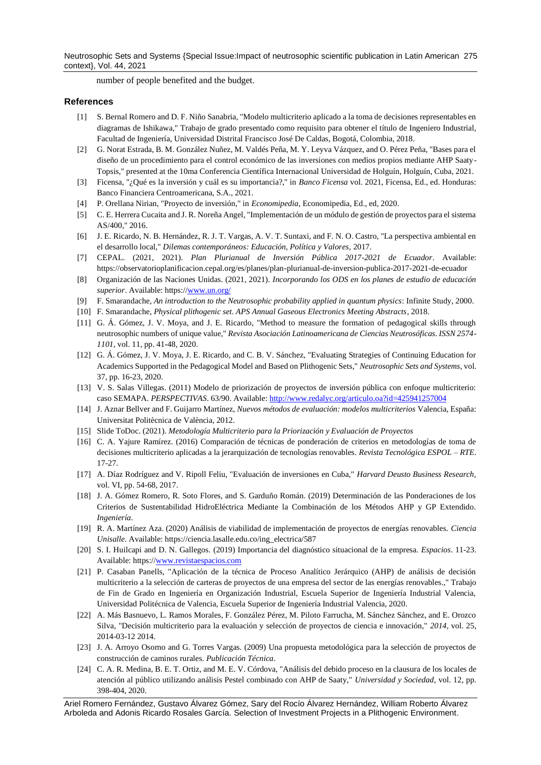Neutrosophic Sets and Systems {Special Issue:Impact of neutrosophic scientific publication in Latin American 275 context}, Vol. 44, 2021

number of people benefited and the budget.

### **References**

- <span id="page-12-0"></span>[1] S. Bernal Romero and D. F. Niño Sanabria, "Modelo multicriterio aplicado a la toma de decisiones representables en diagramas de Ishikawa," Trabajo de grado presentado como requisito para obtener el título de Ingeniero Industrial, Facultad de Ingeniería, Universidad Distrital Francisco José De Caldas, Bogotá, Colombia, 2018.
- <span id="page-12-1"></span>[2] G. Norat Estrada, B. M. González Nuñez, M. Valdés Peña, M. Y. Leyva Vázquez, and O. Pérez Peña, "Bases para el diseño de un procedimiento para el control económico de las inversiones con medios propios mediante AHP Saaty-Topsis," presented at the 10ma Conferencia Científica Internacional Universidad de Holguín, Holguín, Cuba, 2021.
- <span id="page-12-2"></span>[3] Ficensa, "¿Qué es la inversión y cuál es su importancia?," in *Banco Ficensa* vol. 2021, Ficensa, Ed., ed. Honduras: Banco Financiera Centroamericana, S.A., 2021.
- <span id="page-12-3"></span>[4] P. Orellana Nirian, "Proyecto de inversión," in *Economipedia*, Economipedia, Ed., ed, 2020.
- [5] C. E. Herrera Cucaita and J. R. Noreña Angel, "Implementación de un módulo de gestión de proyectos para el sistema AS/400," 2016.
- [6] J. E. Ricardo, N. B. Hernández, R. J. T. Vargas, A. V. T. Suntaxi, and F. N. O. Castro, "La perspectiva ambiental en el desarrollo local," *Dilemas contemporáneos: Educación, Política y Valores,* 2017.
- <span id="page-12-4"></span>[7] CEPAL. (2021, 2021). *Plan Plurianual de Inversión Pública 2017-2021 de Ecuador*. Available: https://observatorioplanificacion.cepal.org/es/planes/plan-plurianual-de-inversion-publica-2017-2021-de-ecuador
- <span id="page-12-5"></span>[8] Organización de las Naciones Unidas. (2021, 2021). *Incorporando los ODS en los planes de estudio de educación superior*. Available: https:[//www.un.org/](http://www.un.org/)
- <span id="page-12-6"></span>[9] F. Smarandache, *An introduction to the Neutrosophic probability applied in quantum physics*: Infinite Study, 2000.
- <span id="page-12-7"></span>[10] F. Smarandache, *Physical plithogenic set. APS Annual Gaseous Electronics Meeting Abstracts*, 2018.
- [11] G. Á. Gómez, J. V. Moya, and J. E. Ricardo, "Method to measure the formation of pedagogical skills through neutrosophic numbers of unique value," *Revista Asociación Latinoamericana de Ciencias Neutrosóficas. ISSN 2574- 1101,* vol. 11, pp. 41-48, 2020.
- <span id="page-12-10"></span>[12] G. Á. Gómez, J. V. Moya, J. E. Ricardo, and C. B. V. Sánchez, "Evaluating Strategies of Continuing Education for Academics Supported in the Pedagogical Model and Based on Plithogenic Sets," *Neutrosophic Sets and Systems,* vol. 37, pp. 16-23, 2020.
- <span id="page-12-8"></span>[13] V. S. Salas Villegas. (2011) Modelo de priorización de proyectos de inversión pública con enfoque multicriterio: caso SEMAPA. *PERSPECTIVAS*. 63/90. Available:<http://www.redalyc.org/articulo.oa?id=425941257004>
- <span id="page-12-11"></span>[14] J. Aznar Bellver and F. Guijarro Martínez, *Nuevos métodos de evaluación: modelos multicriterios* Valencia, España: Universitat Politècnica de València, 2012.
- <span id="page-12-9"></span>[15] Slide ToDoc. (2021). *Metodología Multicriterio para la Priorización y Evaluación de Proyectos*
- <span id="page-12-12"></span>[16] C. A. Yajure Ramírez. (2016) Comparación de técnicas de ponderación de criterios en metodologías de toma de decisiones multicriterio aplicadas a la jerarquización de tecnologías renovables. *Revista Tecnológica ESPOL – RTE*. 17-27.
- [17] A. Díaz Rodríguez and V. Ripoll Feliu, "Evaluación de inversiones en Cuba," *Harvard Deusto Business Research,*  vol. VI, pp. 54-68, 2017.
- <span id="page-12-13"></span>[18] J. A. Gómez Romero, R. Soto Flores, and S. Garduño Román. (2019) Determinación de las Ponderaciones de los Criterios de Sustentabilidad HidroEléctrica Mediante la Combinación de los Métodos AHP y GP Extendido. *Ingeniería*.
- <span id="page-12-14"></span>[19] R. A. Martínez Aza. (2020) Análisis de viabilidad de implementación de proyectos de energías renovables. *Ciencia Unisalle*. Available: https://ciencia.lasalle.edu.co/ing\_electrica/587
- [20] S. I. Huilcapi and D. N. Gallegos. (2019) Importancia del diagnóstico situacional de la empresa. *Espacios*. 11-23. Available: https:[//www.revistaespacios.com](http://www.revistaespacios.com/)
- <span id="page-12-15"></span>[21] P. Casaban Panells, "Aplicación de la técnica de Proceso Analítico Jerárquico (AHP) de análisis de decisión multicriterio a la selección de carteras de proyectos de una empresa del sector de las energías renovables.," Trabajo de Fin de Grado en Ingeniería en Organización Industrial, Escuela Superior de Ingeniería Industrial Valencia, Universidad Politécnica de Valencia, Escuela Superior de Ingeniería Industrial Valencia, 2020.
- [22] A. Más Basnuevo, L. Ramos Morales, F. González Pérez, M. Piloto Farrucha, M. Sánchez Sánchez, and E. Orozco Silva, "Decisión multicriterio para la evaluación y selección de proyectos de ciencia e innovación," *2014,* vol. 25, 2014-03-12 2014.
- [23] J. A. Arroyo Osorno and G. Torres Vargas. (2009) Una propuesta metodológica para la selección de proyectos de construcción de caminos rurales. *Publicación Técnica*.
- [24] C. A. R. Medina, B. E. T. Ortiz, and M. E. V. Córdova, "Análisis del debido proceso en la clausura de los locales de atención al público utilizando análisis Pestel combinado con AHP de Saaty," *Universidad y Sociedad,* vol. 12, pp. 398-404, 2020.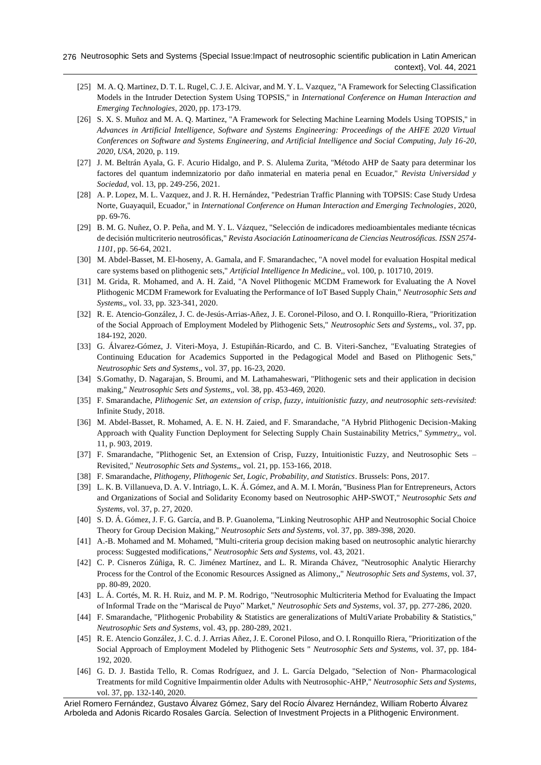- [25] M. A. Q. Martinez, D. T. L. Rugel, C. J. E. Alcivar, and M. Y. L. Vazquez, "A Framework for Selecting Classification Models in the Intruder Detection System Using TOPSIS," in *International Conference on Human Interaction and Emerging Technologies*, 2020, pp. 173-179.
- [26] S. X. S. Muñoz and M. A. Q. Martinez, "A Framework for Selecting Machine Learning Models Using TOPSIS," in *Advances in Artificial Intelligence, Software and Systems Engineering: Proceedings of the AHFE 2020 Virtual Conferences on Software and Systems Engineering, and Artificial Intelligence and Social Computing, July 16-20, 2020, USA*, 2020, p. 119.
- [27] J. M. Beltrán Ayala, G. F. Acurio Hidalgo, and P. S. Alulema Zurita, "Método AHP de Saaty para determinar los factores del quantum indemnizatorio por daño inmaterial en materia penal en Ecuador," *Revista Universidad y Sociedad,* vol. 13, pp. 249-256, 2021.
- [28] A. P. Lopez, M. L. Vazquez, and J. R. H. Hernández, "Pedestrian Traffic Planning with TOPSIS: Case Study Urdesa Norte, Guayaquil, Ecuador," in *International Conference on Human Interaction and Emerging Technologies*, 2020, pp. 69-76.
- [29] B. M. G. Nuñez, O. P. Peña, and M. Y. L. Vázquez, "Selección de indicadores medioambientales mediante técnicas de decisión multicriterio neutrosóficas," *Revista Asociación Latinoamericana de Ciencias Neutrosóficas. ISSN 2574- 1101,* pp. 56-64, 2021.
- <span id="page-13-0"></span>[30] M. Abdel-Basset, M. El-hoseny, A. Gamala, and F. Smarandachec, "A novel model for evaluation Hospital medical care systems based on plithogenic sets," *Artificial Intelligence In Medicine,,* vol. 100, p. 101710, 2019.
- [31] M. Grida, R. Mohamed, and A. H. Zaid, "A Novel Plithogenic MCDM Framework for Evaluating the A Novel Plithogenic MCDM Framework for Evaluating the Performance of IoT Based Supply Chain," *Neutrosophic Sets and Systems,,* vol. 33, pp. 323-341, 2020.
- [32] R. E. Atencio-González, J. C. de-Jesús-Arrias-Añez, J. E. Coronel-Piloso, and O. I. Ronquillo-Riera, "Prioritization of the Social Approach of Employment Modeled by Plithogenic Sets," *Neutrosophic Sets and Systems,,* vol. 37, pp. 184-192, 2020.
- [33] G. Álvarez-Gómez, J. Viteri-Moya, J. Estupiñán-Ricardo, and C. B. Viteri-Sanchez, "Evaluating Strategies of Continuing Education for Academics Supported in the Pedagogical Model and Based on Plithogenic Sets," *Neutrosophic Sets and Systems,,* vol. 37, pp. 16-23, 2020.
- [34] S.Gomathy, D. Nagarajan, S. Broumi, and M. Lathamaheswari, "Plithogenic sets and their application in decision making," *Neutrosophic Sets and Systems,,* vol. 38, pp. 453-469, 2020.
- [35] F. Smarandache, *Plithogenic Set, an extension of crisp, fuzzy, intuitionistic fuzzy, and neutrosophic sets-revisited*: Infinite Study, 2018.
- [36] M. Abdel-Basset, R. Mohamed, A. E. N. H. Zaied, and F. Smarandache, "A Hybrid Plithogenic Decision-Making Approach with Quality Function Deployment for Selecting Supply Chain Sustainability Metrics," *Symmetry,,* vol. 11, p. 903, 2019.
- [37] F. Smarandache, "Plithogenic Set, an Extension of Crisp, Fuzzy, Intuitionistic Fuzzy, and Neutrosophic Sets Revisited," *Neutrosophic Sets and Systems,,* vol. 21, pp. 153-166, 2018.
- [38] F. Smarandache, *Plithogeny, Plithogenic Set, Logic, Probability, and Statistics*. Brussels: Pons, 2017.
- [39] L. K. B. Villanueva, D. A. V. Intriago, L. K. Á. Gómez, and A. M. I. Morán, "Business Plan for Entrepreneurs, Actors and Organizations of Social and Solidarity Economy based on Neutrosophic AHP-SWOT," *Neutrosophic Sets and Systems,* vol. 37, p. 27, 2020.
- [40] S. D. Á. Gómez, J. F. G. García, and B. P. Guanolema, "Linking Neutrosophic AHP and Neutrosophic Social Choice Theory for Group Decision Making," *Neutrosophic Sets and Systems,* vol. 37, pp. 389-398, 2020.
- [41] A.-B. Mohamed and M. Mohamed, "Multi-criteria group decision making based on neutrosophic analytic hierarchy process: Suggested modifications," *Neutrosophic Sets and Systems,* vol. 43, 2021.
- [42] C. P. Cisneros Zúñiga, R. C. Jiménez Martínez, and L. R. Miranda Chávez, "Neutrosophic Analytic Hierarchy Process for the Control of the Economic Resources Assigned as Alimony,," *Neutrosophic Sets and Systems,* vol. 37, pp. 80-89, 2020.
- [43] L. Á. Cortés, M. R. H. Ruiz, and M. P. M. Rodrigo, "Neutrosophic Multicriteria Method for Evaluating the Impact of Informal Trade on the "Mariscal de Puyo" Market," *Neutrosophic Sets and Systems,* vol. 37, pp. 277-286, 2020.
- [44] F. Smarandache, "Plithogenic Probability & Statistics are generalizations of MultiVariate Probability & Statistics," *Neutrosophic Sets and Systems,* vol. 43, pp. 280-289, 2021.
- [45] R. E. Atencio González, J. C. d. J. Arrias Añez, J. E. Coronel Piloso, and O. I. Ronquillo Riera, "Prioritization of the Social Approach of Employment Modeled by Plithogenic Sets " *Neutrosophic Sets and Systems,* vol. 37, pp. 184- 192, 2020.
- [46] G. D. J. Bastida Tello, R. Comas Rodríguez, and J. L. García Delgado, "Selection of Non- Pharmacological Treatments for mild Cognitive Impairmentin older Adults with Neutrosophic-AHP," *Neutrosophic Sets and Systems,*  vol. 37, pp. 132-140, 2020.

Ariel Romero Fernández, Gustavo Álvarez Gómez, Sary del Rocío Álvarez Hernández, William Roberto Álvarez Arboleda and Adonis Ricardo Rosales García. Selection of Investment Projects in a Plithogenic Environment.